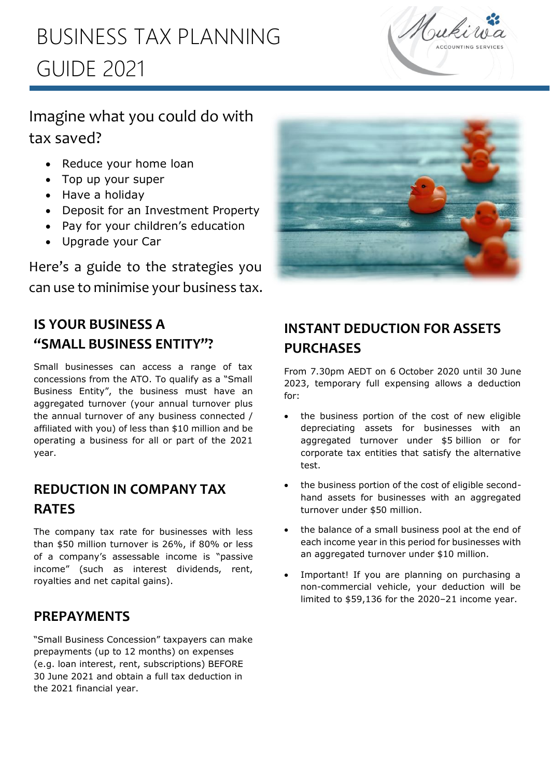# l<br>L BUSINESS TAX PLANNING GUIDE 2021



## Imagine what you could do with tax saved?

- Reduce your home loan
- Top up your super
- Have a holiday
- Deposit for an Investment Property
- Pay for your children's education
- Upgrade your Car

Here's a guide to the strategies you can use to minimise your business tax.



## **IS YOUR BUSINESS A "SMALL BUSINESS ENTITY"?**

Small businesses can access a range of tax concessions from the ATO. To qualify as a "Small Business Entity", the business must have an aggregated turnover (your annual turnover plus the annual turnover of any business connected / affiliated with you) of less than \$10 million and be operating a business for all or part of the 2021 year.

## **REDUCTION IN COMPANY TAX RATES**

The company tax rate for businesses with less than \$50 million turnover is 26%, if 80% or less of a company's assessable income is "passive income" (such as interest dividends, rent, royalties and net capital gains).

### **PREPAYMENTS**

"Small Business Concession" taxpayers can make prepayments (up to 12 months) on expenses (e.g. loan interest, rent, subscriptions) BEFORE 30 June 2021 and obtain a full tax deduction in the 2021 financial year.

## **INSTANT DEDUCTION FOR ASSETS PURCHASES**

From 7.30pm AEDT on 6 October 2020 until 30 June 2023, temporary full expensing allows a deduction for:

- the business portion of the cost of new eligible depreciating assets for businesses with an aggregated turnover under \$5 billion or for corporate tax entities that satisfy the alternative test.
- the business portion of the cost of eligible secondhand assets for businesses with an aggregated turnover under \$50 million.
- the balance of a small business pool at the end of each income year in this period for businesses with an aggregated turnover under \$10 million.
- Important! If you are planning on purchasing a non-commercial vehicle, your deduction will be limited to \$59,136 for the 2020–21 income year.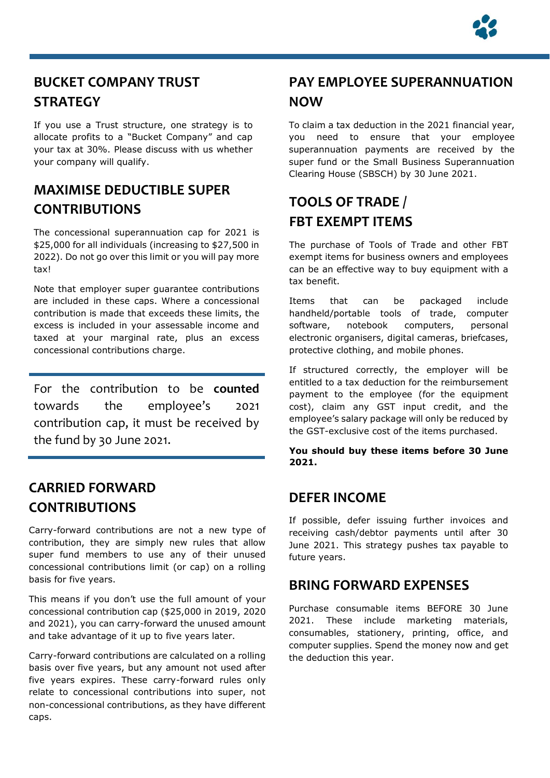

## **BUCKET COMPANY TRUST STRATEGY**

i<br>Li

If you use a Trust structure, one strategy is to allocate profits to a "Bucket Company" and cap your tax at 30%. Please discuss with us whether your company will qualify.

### **MAXIMISE DEDUCTIBLE SUPER CONTRIBUTIONS**

The concessional superannuation cap for 2021 is \$25,000 for all individuals (increasing to \$27,500 in 2022). Do not go over this limit or you will pay more tax!

Note that employer super guarantee contributions are included in these caps. Where a concessional contribution is made that exceeds these limits, the excess is included in your assessable income and taxed at your marginal rate, plus an excess concessional contributions charge.

For the contribution to be **counted** towards the employee's 2021 contribution cap, it must be received by the fund by 30 June 2021.

### **CARRIED FORWARD CONTRIBUTIONS**

Carry-forward contributions are not a new type of contribution, they are simply new rules that allow super fund members to use any of their unused concessional contributions limit (or cap) on a rolling basis for five years.

This means if you don't use the full amount of your concessional contribution cap (\$25,000 in 2019, 2020 and 2021), you can carry-forward the unused amount and take advantage of it up to five years later.

Carry-forward contributions are calculated on a rolling basis over five years, but any amount not used after five years expires. These carry-forward rules only relate to concessional contributions into super, not non-concessional contributions, as they have different caps.

## **PAY EMPLOYEE SUPERANNUATION NOW**

To claim a tax deduction in the 2021 financial year, you need to ensure that your employee superannuation payments are received by the super fund or the Small Business Superannuation Clearing House (SBSCH) by 30 June 2021.

## **TOOLS OF TRADE / FBT EXEMPT ITEMS**

The purchase of Tools of Trade and other FBT exempt items for business owners and employees can be an effective way to buy equipment with a tax benefit.

Items that can be packaged include handheld/portable tools of trade, computer software, notebook computers, personal electronic organisers, digital cameras, briefcases, protective clothing, and mobile phones.

If structured correctly, the employer will be entitled to a tax deduction for the reimbursement payment to the employee (for the equipment cost), claim any GST input credit, and the employee's salary package will only be reduced by the GST-exclusive cost of the items purchased.

**You should buy these items before 30 June 2021.**

#### **DEFER INCOME**

If possible, defer issuing further invoices and receiving cash/debtor payments until after 30 June 2021. This strategy pushes tax payable to future years.

#### **BRING FORWARD EXPENSES**

Purchase consumable items BEFORE 30 June 2021. These include marketing materials, consumables, stationery, printing, office, and computer supplies. Spend the money now and get the deduction this year.